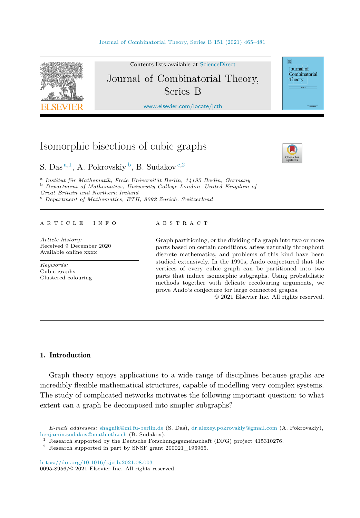<span id="page-0-0"></span>

Contents lists available at [ScienceDirect](http://www.ScienceDirect.com/) Journal of Combinatorial Theory, Series B

[www.elsevier.com/locate/jctb](http://www.elsevier.com/locate/jctb)

# Isomorphic bisections of cubic graphs

S. Das <sup>a</sup>*,*<sup>1</sup>, A. Pokrovskiy <sup>b</sup>, B. Sudakov <sup>c</sup>*,*<sup>2</sup>

<sup>a</sup> Institut für Mathematik, Freie Universität Berlin, 14195 Berlin, Germany<br><sup>b</sup> Department of Mathematics, University College London, United Kingdom of *Great Britain and Northern Ireland* <sup>c</sup> *Department of Mathematics, ETH, <sup>8092</sup> Zurich, Switzerland*

#### A R T I C L E I N F O A B S T R A C T

*Article history:* Received 9 December 2020 Available online xxxx

*Keywords:* Cubic graphs Clustered colouring

Graph partitioning, or the dividing of a graph into two or more parts based on certain conditions, arises naturally throughout discrete mathematics, and problems of this kind have been studied extensively. In the 1990s, Ando conjectured that the vertices of every cubic graph can be partitioned into two parts that induce isomorphic subgraphs. Using probabilistic methods together with delicate recolouring arguments, we prove Ando's conjecture for large connected graphs.

© 2021 Elsevier Inc. All rights reserved.

## 1. Introduction

Graph theory enjoys applications to a wide range of disciplines because graphs are incredibly flexible mathematical structures, capable of modelling very complex systems. The study of complicated networks motivates the following important question: to what extent can a graph be decomposed into simpler subgraphs?



Journal of Combinatorial Theory

*E-mail addresses:* [shagnik@mi.fu-berlin.de](mailto:shagnik@mi.fu-berlin.de) (S. Das), [dr.alexey.pokrovskiy@gmail.com](mailto:dr.alexey.pokrovskiy@gmail.com) (A. Pokrovskiy), [benjamin.sudakov@math.ethz.ch](mailto:benjamin.sudakov@math.ethz.ch) (B. Sudakov).

 $^{\rm 1}$  Research supported by the Deutsche Forschungsgemeinschaft (DFG) project 415310276.

<sup>2</sup> Research supported in part by SNSF grant 200021\_196965.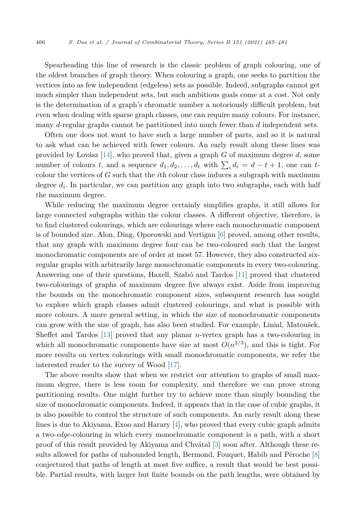Spearheading this line of research is the classic problem of graph colouring, one of the oldest branches of graph theory. When colouring a graph, one seeks to partition the vertices into as few independent (edgeless) sets as possible. Indeed, subgraphs cannot get much simpler than independent sets, but such ambitious goals come at a cost. Not only is the determination of a graph's chromatic number a notoriously difficult problem, but even when dealing with sparse graph classes, one can require many colours. For instance, many *d*-regular graphs cannot be partitioned into much fewer than *d* independent sets.

Often one does not want to have such a large number of parts, and so it is natural to ask what can be achieved with fewer colours. An early result along these lines was provided by Lovász [[14\]](#page-16-0), who proved that, given a graph *G* of maximum degree *d*, some number of colours *t*, and a sequence  $d_1, d_2, \ldots, d_t$  with  $\sum_i d_i = d - t + 1$ , one can *t*colour the vertices of *G* such that the *i*th colour class induces a subgraph with maximum degree  $d_i$ . In particular, we can partition any graph into two subgraphs, each with half the maximum degree.

While reducing the maximum degree certainly simplifies graphs, it still allows for large connected subgraphs within the colour classes. A different objective, therefore, is to find clustered colourings, which are colourings where each monochromatic component is of bounded size. Alon, Ding, Oporowski and Vertigan [[6\]](#page-16-0) proved, among other results, that any graph with maximum degree four can be two-coloured such that the largest monochromatic components are of order at most 57. However, they also constructed sixregular graphs with arbitrarily large monochromatic components in every two-colouring. Answering one of their questions, Haxell, Szabó and Tardos [[11\]](#page-16-0) proved that clustered two-colourings of graphs of maximum degree five always exist. Aside from improving the bounds on the monochromatic component sizes, subsequent research has sought to explore which graph classes admit clustered colourings, and what is possible with more colours. A more general setting, in which the size of monochromatic components can grow with the size of graph, has also been studied. For example, Linial, Matoušek, Sheffet and Tardos [\[13](#page-16-0)] proved that any planar *n*-vertex graph has a two-colouring in which all monochromatic components have size at most  $O(n^{2/3})$ , and this is tight. For more results on vertex colourings with small monochromatic components, we refer the interested reader to the survey of Wood [\[17](#page-16-0)].

The above results show that when we restrict our attention to graphs of small maximum degree, there is less room for complexity, and therefore we can prove strong partitioning results. One might further try to achieve more than simply bounding the size of monochromatic components. Indeed, it appears that in the case of cubic graphs, it is also possible to control the structure of such components. An early result along these lines is due to Akiyama, Exoo and Harary [\[4](#page-16-0)], who proved that every cubic graph admits a two-*edge*-colouring in which every monochromatic component is a path, with a short proof of this result provided by Akiyama and Chvátal [[3\]](#page-16-0) soon after. Although these results allowed for paths of unbounded length, Bermond, Fouquet, Habib and Péroche [[8\]](#page-16-0) conjectured that paths of length at most five suffice, a result that would be best possible. Partial results, with larger but finite bounds on the path lengths, were obtained by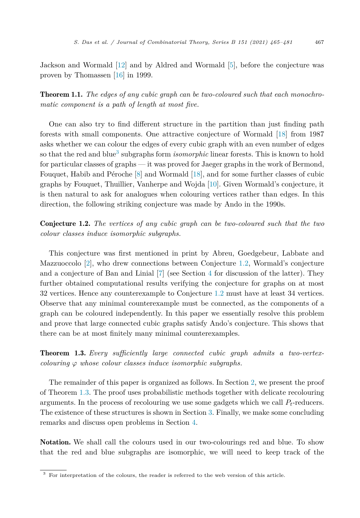<span id="page-2-0"></span>Jackson and Wormald [[12\]](#page-16-0) and by Aldred and Wormald [[5\]](#page-16-0), before the conjecture was proven by Thomassen [[16\]](#page-16-0) in 1999.

Theorem 1.1. *The edges of any cubic graph can be two-coloured such that each monochromatic component is a path of length at most five.*

One can also try to find different structure in the partition than just finding path forests with small components. One attractive conjecture of Wormald [\[18\]](#page-16-0) from 1987 asks whether we can colour the edges of every cubic graph with an even number of edges so that the red and blue<sup>3</sup> subgraphs form *isomorphic* linear forests. This is known to hold for particular classes of graphs — it was proved for Jaeger graphs in the work of Bermond, Fouquet, Habib and Péroche [\[8](#page-16-0)] and Wormald [\[18](#page-16-0)], and for some further classes of cubic graphs by Fouquet, Thuillier, Vanherpe and Wojda [\[10\]](#page-16-0). Given Wormald's conjecture, it is then natural to ask for analogues when colouring vertices rather than edges. In this direction, the following striking conjecture was made by Ando in the 1990s.

Conjecture 1.2. *The vertices of any cubic graph can be two-coloured such that the two colour classes induce isomorphic subgraphs.*

This conjecture was first mentioned in print by Abreu, Goedgebeur, Labbate and Mazzuoccolo [\[2\]](#page-16-0), who drew connections between Conjecture 1.2, Wormald's conjecture and a conjecture of Ban and Linial [\[7](#page-16-0)] (see Section [4](#page-14-0) for discussion of the latter). They further obtained computational results verifying the conjecture for graphs on at most 32 vertices. Hence any counterexample to Conjecture 1.2 must have at least 34 vertices. Observe that any minimal counterexample must be connected, as the components of a graph can be coloured independently. In this paper we essentially resolve this problem and prove that large connected cubic graphs satisfy Ando's conjecture. This shows that there can be at most finitely many minimal counterexamples.

Theorem 1.3. *Every sufficiently large connected cubic graph admits a two-vertexcolouring ϕ whose colour classes induce isomorphic subgraphs.*

The remainder of this paper is organized as follows. In Section [2](#page-3-0), we present the proof of Theorem 1.3. The proof uses probabilistic methods together with delicate recolouring arguments. In the process of recolouring we use some gadgets which we call *Pt*-reducers. The existence of these structures is shown in Section [3](#page-8-0). Finally, we make some concluding remarks and discuss open problems in Section [4](#page-14-0).

Notation. We shall call the colours used in our two-colourings red and blue. To show that the red and blue subgraphs are isomorphic, we will need to keep track of the

<sup>&</sup>lt;sup>3</sup> For interpretation of the colours, the reader is referred to the web version of this article.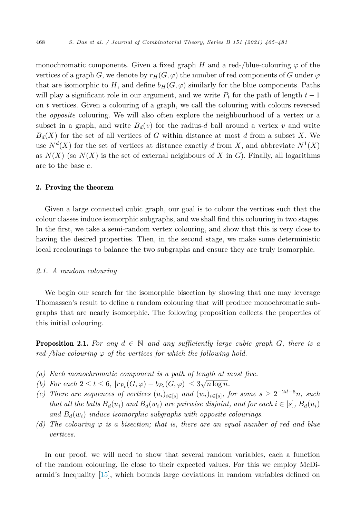<span id="page-3-0"></span>monochromatic components. Given a fixed graph *H* and a red-/blue-colouring  $\varphi$  of the vertices of a graph *G*, we denote by  $r_H(G, \varphi)$  the number of red components of *G* under  $\varphi$ that are isomorphic to *H*, and define  $b_H(G, \varphi)$  similarly for the blue components. Paths will play a significant role in our argument, and we write  $P_t$  for the path of length  $t-1$ on *t* vertices. Given a colouring of a graph, we call the colouring with colours reversed the *opposite* colouring. We will also often explore the neighbourhood of a vertex or a subset in a graph, and write  $B_d(v)$  for the radius-*d* ball around a vertex *v* and write  $B_d(X)$  for the set of all vertices of *G* within distance at most *d* from a subset *X*. We use  $N^d(X)$  for the set of vertices at distance exactly *d* from *X*, and abbreviate  $N^1(X)$ as  $N(X)$  (so  $N(X)$ ) is the set of external neighbours of X in G). Finally, all logarithms are to the base *e*.

#### 2. Proving the theorem

Given a large connected cubic graph, our goal is to colour the vertices such that the colour classes induce isomorphic subgraphs, and we shall find this colouring in two stages. In the first, we take a semi-random vertex colouring, and show that this is very close to having the desired properties. Then, in the second stage, we make some deterministic local recolourings to balance the two subgraphs and ensure they are truly isomorphic.

#### *2.1. A random colouring*

We begin our search for the isomorphic bisection by showing that one may leverage Thomassen's result to define a random colouring that will produce monochromatic subgraphs that are nearly isomorphic. The following proposition collects the properties of this initial colouring.

**Proposition 2.1.** For any  $d \in \mathbb{N}$  and any sufficiently large cubic graph *G*, there is a *red-/blue-colouring*  $\varphi$  *of the vertices for which the following hold.* 

- *(a) Each monochromatic component is a path of length at most five.*
- *(b)* For each  $2 \le t \le 6$ ,  $|r_{P_t}(G, \varphi) b_{P_t}(G, \varphi)| \le 3\sqrt{n \log n}$ .
- (c) There are sequences of vertices  $(u_i)_{i \in [s]}$  and  $(w_i)_{i \in [s]}$ , for some  $s \geq 2^{-2d-5}n$ , such that all the balls  $B_d(u_i)$  and  $B_d(w_i)$  are pairwise disjoint, and for each  $i \in [s]$ ,  $B_d(u_i)$ *and Bd*(*wi*) *induce isomorphic subgraphs with opposite colourings.*
- $(d)$  The colouring  $\varphi$  is a bisection; that is, there are an equal number of red and blue *vertices.*

In our proof, we will need to show that several random variables, each a function of the random colouring, lie close to their expected values. For this we employ McDiarmid's Inequality [[15\]](#page-16-0), which bounds large deviations in random variables defined on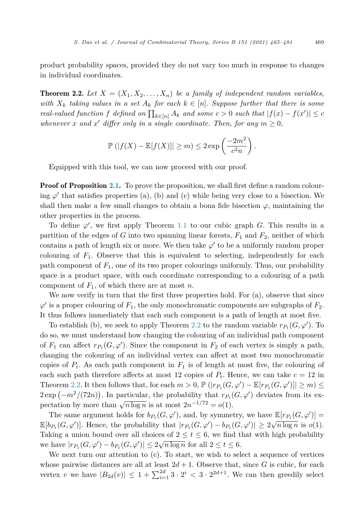<span id="page-4-0"></span>product probability spaces, provided they do not vary too much in response to changes in individual coordinates.

**Theorem 2.2.** Let  $X = (X_1, X_2, \ldots, X_n)$  be a family of independent random variables, with  $X_k$  taking values in a set  $A_k$  for each  $k \in [n]$ . Suppose further that there is some real-valued function f defined on  $\prod_{k \in [n]} A_k$  and some  $c > 0$  such that  $|f(x) - f(x')| \leq c$ *whenever x* and *x*' differ only in a single coordinate. Then, for any  $m \geq 0$ ,

$$
\mathbb{P}\left(|f(X) - \mathbb{E}[f(X)]\right| \ge m\right) \le 2 \exp\left(\frac{-2m^2}{c^2 n}\right).
$$

Equipped with this tool, we can now proceed with our proof.

**Proof of Proposition [2.1.](#page-3-0)** To prove the proposition, we shall first define a random colouring  $\varphi'$  that satisfies properties (a), (b) and (c) while being very close to a bisection. We shall then make a few small changes to obtain a bona fide bisection  $\varphi$ , maintaining the other properties in the process.

To define *ϕ* , we first apply Theorem [1.1](#page-2-0) to our cubic graph *G*. This results in a partition of the edges of *G* into two spanning linear forests, *F*<sup>1</sup> and *F*2, neither of which contains a path of length six or more. We then take  $\varphi'$  to be a uniformly random proper colouring of  $F_1$ . Observe that this is equivalent to selecting, independently for each path component of *F*1, one of its two proper colourings uniformly. Thus, our probability space is a product space, with each coordinate corresponding to a colouring of a path component of  $F_1$ , of which there are at most *n*.

We now verify in turn that the first three properties hold. For  $(a)$ , observe that since  $\varphi'$  is a proper colouring of  $F_1$ , the only monochromatic components are subgraphs of  $F_2$ . It thus follows immediately that each such component is a path of length at most five.

To establish (b), we seek to apply Theorem 2.2 to the random variable  $r_{P_t}(G, \varphi')$ . To do so, we must understand how changing the colouring of an individual path component of  $F_1$  can affect  $r_{P_t}(G, \varphi')$ . Since the component in  $F_2$  of each vertex is simply a path, changing the colouring of an individual vertex can affect at most two monochromatic copies of  $P_t$ . As each path component in  $F_1$  is of length at most five, the colouring of each such path therefore affects at most 12 copies of  $P_t$ . Hence, we can take  $c = 12$  in Theorem 2.2. It then follows that, for each  $m > 0$ ,  $\mathbb{P}(|r_{P_t}(G, \varphi') - \mathbb{E}[r_{P_t}(G, \varphi')] \geq m) \leq$  $2 \exp(-m^2/(72n))$ . In particular, the probability that  $r_{P_t}(G,\varphi')$  deviates from its expectation by more than  $\sqrt{n \log n}$  is at most  $2n^{-1/72} = o(1)$ .

The same argument holds for  $b_{P_t}(G, \varphi')$ , and, by symmetry, we have  $\mathbb{E}[r_{P_t}(G, \varphi')]$  $\mathbb{E}[b_{P_t}(G,\varphi')]$ . Hence, the probability that  $|r_{P_t}(G,\varphi') - b_{P_t}(G,\varphi')| \geq 2\sqrt{n \log n}$  is  $o(1)$ . Taking a union bound over all choices of  $2 \le t \le 6$ , we find that with high probability we have  $|r_{P_t}(G, \varphi') - b_{P_t}(G, \varphi')| \leq 2\sqrt{n \log n}$  for all  $2 \leq t \leq 6$ .

We next turn our attention to (c). To start, we wish to select a sequence of vertices whose pairwise distances are all at least  $2d + 1$ . Observe that, since G is cubic, for each vertex *v* we have  $|B_{2d}(v)| \leq 1 + \sum_{i=1}^{2d} 3 \cdot 2^i < 3 \cdot 2^{2d+1}$ . We can then greedily select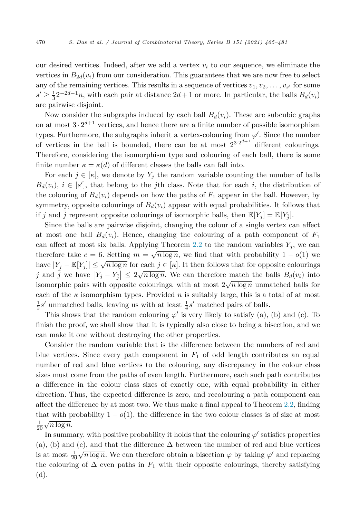our desired vertices. Indeed, after we add a vertex  $v_i$  to our sequence, we eliminate the vertices in  $B_{2d}(v_i)$  from our consideration. This guarantees that we are now free to select any of the remaining vertices. This results in a sequence of vertices  $v_1, v_2, \ldots, v_{s'}$  for some  $s' \geq \frac{1}{3}2^{-2d-1}n$ , with each pair at distance  $2d+1$  or more. In particular, the balls  $B_d(v_i)$ are pairwise disjoint.

Now consider the subgraphs induced by each ball  $B_d(v_i)$ . These are subcubic graphs on at most  $3 \cdot 2^{d+1}$  vertices, and hence there are a finite number of possible isomorphism types. Furthermore, the subgraphs inherit a vertex-colouring from *ϕ* . Since the number of vertices in the ball is bounded, there can be at most  $2^{3\cdot2^{d+1}}$  different colourings. Therefore, considering the isomorphism type and colouring of each ball, there is some finite number  $\kappa = \kappa(d)$  of different classes the balls can fall into.

For each  $j \in [\kappa]$ , we denote by  $Y_j$  the random variable counting the number of balls  $B_d(v_i)$ ,  $i \in [s']$ , that belong to the *j*th class. Note that for each *i*, the distribution of the colouring of  $B_d(v_i)$  depends on how the paths of  $F_1$  appear in the ball. However, by symmetry, opposite colourings of  $B_d(v_i)$  appear with equal probabilities. It follows that if *j* and *j* represent opposite colourings of isomorphic balls, then  $\mathbb{E}[Y_i] = \mathbb{E}[Y_i]$ .

Since the balls are pairwise disjoint, changing the colour of a single vertex can affect at most one ball  $B_d(v_i)$ . Hence, changing the colouring of a path component of  $F_1$ can affect at most six balls. Applying Theorem [2.2](#page-4-0) to the random variables  $Y_j$ , we can therefore take  $c = 6$ . Setting  $m = \sqrt{n \log n}$ , we find that with probability  $1 - o(1)$  we have  $|Y_i - \mathbb{E}[Y_i]| \leq \sqrt{n \log n}$  for each  $j \in [\kappa]$ . It then follows that for opposite colourings *j* and  $\overline{j}$  we have  $|Y_j - Y_{\overline{j}}| \leq 2\sqrt{n \log n}$ . We can therefore match the balls  $B_d(v_i)$  into isomorphic pairs with opposite colourings, with at most  $2\sqrt{n\log n}$  unmatched balls for each of the  $\kappa$  isomorphism types. Provided *n* is suitably large, this is a total of at most  $\frac{1}{2}s'$  unmatched balls, leaving us with at least  $\frac{1}{4}s'$  matched pairs of balls.

This shows that the random colouring  $\varphi'$  is very likely to satisfy (a), (b) and (c). To finish the proof, we shall show that it is typically also close to being a bisection, and we can make it one without destroying the other properties.

Consider the random variable that is the difference between the numbers of red and blue vertices. Since every path component in  $F_1$  of odd length contributes an equal number of red and blue vertices to the colouring, any discrepancy in the colour class sizes must come from the paths of even length. Furthermore, each such path contributes a difference in the colour class sizes of exactly one, with equal probability in either direction. Thus, the expected difference is zero, and recolouring a path component can affect the difference by at most two. We thus make a final appeal to Theorem [2.2,](#page-4-0) finding that with probability  $1 - o(1)$ , the difference in the two colour classes is of size at most  $rac{1}{20}\sqrt{n\log n}$ .

In summary, with positive probability it holds that the colouring  $\varphi'$  satisfies properties (a), (b) and (c), and that the difference  $\Delta$  between the number of red and blue vertices is at most  $\frac{1}{20}\sqrt{n\log n}$ . We can therefore obtain a bisection  $\varphi$  by taking  $\varphi'$  and replacing the colouring of  $\Delta$  even paths in  $F_1$  with their opposite colourings, thereby satisfying (d).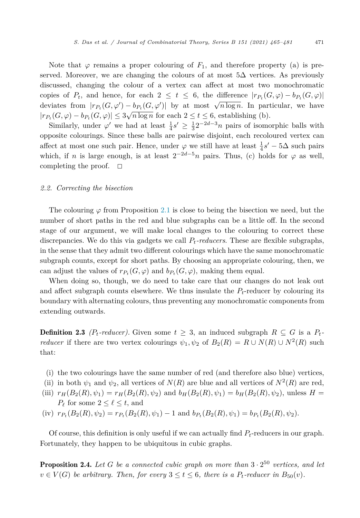<span id="page-6-0"></span>Note that  $\varphi$  remains a proper colouring of  $F_1$ , and therefore property (a) is preserved. Moreover, we are changing the colours of at most  $5\Delta$  vertices. As previously discussed, changing the colour of a vertex can affect at most two monochromatic copies of  $P_t$ , and hence, for each  $2 \le t \le 6$ , the difference  $|r_{P_t}(G,\varphi) - b_{P_t}(G,\varphi)|$ deviates from  $|r_{P_t}(G, \varphi') - b_{P_t}(G, \varphi')|$  by at most  $\sqrt{n \log n}$ . In particular, we have  $|r_{P_t}(G, \varphi) - b_{P_t}(G, \varphi)| \leq 3\sqrt{n \log n}$  for each  $2 \leq t \leq 6$ , establishing (b).

Similarly, under  $\varphi'$  we had at least  $\frac{1}{4}s' \geq \frac{1}{3}2^{-2d-3}n$  pairs of isomorphic balls with opposite colourings. Since these balls are pairwise disjoint, each recoloured vertex can affect at most one such pair. Hence, under  $\varphi$  we still have at least  $\frac{1}{4}s' - 5\Delta$  such pairs which, if *n* is large enough, is at least  $2^{-2d-5}n$  pairs. Thus, (c) holds for  $\varphi$  as well, completing the proof. - $\Box$ 

#### *2.2. Correcting the bisection*

The colouring  $\varphi$  from Proposition [2.1](#page-3-0) is close to being the bisection we need, but the number of short paths in the red and blue subgraphs can be a little off. In the second stage of our argument, we will make local changes to the colouring to correct these discrepancies. We do this via gadgets we call *Pt-reducers*. These are flexible subgraphs, in the sense that they admit two different colourings which have the same monochromatic subgraph counts, except for short paths. By choosing an appropriate colouring, then, we can adjust the values of  $r_{P_t}(G, \varphi)$  and  $b_{P_t}(G, \varphi)$ , making them equal.

When doing so, though, we do need to take care that our changes do not leak out and affect subgraph counts elsewhere. We thus insulate the  $P_t$ -reducer by colouring its boundary with alternating colours, thus preventing any monochromatic components from extending outwards.

**Definition 2.3** *(P<sub>t</sub>*-reducer). Given some  $t \geq 3$ , an induced subgraph  $R \subseteq G$  is a  $P_t$ *reducer* if there are two vertex colourings  $\psi_1, \psi_2$  of  $B_2(R) = R \cup N(R) \cup N^2(R)$  such that:

- (i) the two colourings have the same number of red (and therefore also blue) vertices,
- (ii) in both  $\psi_1$  and  $\psi_2$ , all vertices of  $N(R)$  are blue and all vertices of  $N^2(R)$  are red,
- (iii)  $r_H(B_2(R), \psi_1) = r_H(B_2(R), \psi_2)$  and  $b_H(B_2(R), \psi_1) = b_H(B_2(R), \psi_2)$ , unless  $H =$  $P_{\ell}$  for some  $2 \leq \ell \leq t$ , and
- (iv)  $r_{P_t}(B_2(R), \psi_2) = r_{P_t}(B_2(R), \psi_1) 1$  and  $b_{P_t}(B_2(R), \psi_1) = b_{P_t}(B_2(R), \psi_2)$ .

Of course, this definition is only useful if we can actually find *Pt*-reducers in our graph. Fortunately, they happen to be ubiquitous in cubic graphs.

**Proposition 2.4.** Let G be a connected cubic graph on more than  $3 \cdot 2^{50}$  vertices, and let  $v \in V(G)$  *be arbitrary. Then, for every*  $3 \le t \le 6$ *, there is a P<sub>t</sub>-reducer in*  $B_{50}(v)$ *.*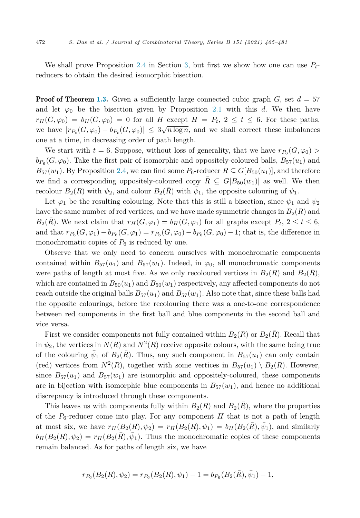We shall prove Proposition [2.4](#page-6-0) in Section [3,](#page-8-0) but first we show how one can use *Pt*reducers to obtain the desired isomorphic bisection.

**Proof of Theorem [1.3.](#page-2-0)** Given a sufficiently large connected cubic graph  $G$ , set  $d = 57$ and let  $\varphi_0$  be the bisection given by Proposition [2.1](#page-3-0) with this *d*. We then have  $r_H(G, \varphi_0) = b_H(G, \varphi_0) = 0$  for all *H* except  $H = P_t$ ,  $2 \le t \le 6$ . For these paths, we have  $|r_{P_t}(G, \varphi_0) - b_{P_t}(G, \varphi_0)| \leq 3\sqrt{n \log n}$ , and we shall correct these imbalances one at a time, in decreasing order of path length.

We start with  $t = 6$ . Suppose, without loss of generality, that we have  $r_{P_6}(G, \varphi_0)$  $b_{P_6}(G, \varphi_0)$ . Take the first pair of isomorphic and oppositely-coloured balls,  $B_{57}(u_1)$  and  $B_{57}(w_1)$ . By Proposition [2.4](#page-6-0), we can find some  $P_6$ -reducer  $R \subseteq G[B_{50}(u_1)]$ , and therefore we find a corresponding oppositely-coloured copy  $\bar{R} \subseteq G[B_{50}(w_1)]$  as well. We then recolour  $B_2(R)$  with  $\psi_2$ , and colour  $B_2(R)$  with  $\bar{\psi}_1$ , the opposite colouring of  $\psi_1$ .

Let  $\varphi_1$  be the resulting colouring. Note that this is still a bisection, since  $\psi_1$  and  $\psi_2$ have the same number of red vertices, and we have made symmetric changes in  $B_2(R)$  and  $B_2(R)$ . We next claim that  $r_H(G, \varphi_1) = b_H(G, \varphi_1)$  for all graphs except  $P_t$ ,  $2 \le t \le 6$ , and that  $r_{P_6}(G, \varphi_1) - b_{P_6}(G, \varphi_1) = r_{P_6}(G, \varphi_0) - b_{P_6}(G, \varphi_0) - 1$ ; that is, the difference in monochromatic copies of  $P_6$  is reduced by one.

Observe that we only need to concern ourselves with monochromatic components contained within  $B_{57}(u_1)$  and  $B_{57}(w_1)$ . Indeed, in  $\varphi_0$ , all monochromatic components were paths of length at most five. As we only recoloured vertices in  $B_2(R)$  and  $B_2(R)$ , which are contained in  $B_{50}(u_1)$  and  $B_{50}(w_1)$  respectively, any affected components do not reach outside the original balls  $B_{57}(u_1)$  and  $B_{57}(w_1)$ . Also note that, since these balls had the opposite colourings, before the recolouring there was a one-to-one correspondence between red components in the first ball and blue components in the second ball and vice versa.

First we consider components not fully contained within  $B_2(R)$  or  $B_2(R)$ . Recall that in  $\psi_2$ , the vertices in  $N(R)$  and  $N^2(R)$  receive opposite colours, with the same being true of the colouring  $\bar{\psi}_1$  of  $B_2(\bar{R})$ . Thus, any such component in  $B_{57}(u_1)$  can only contain (red) vertices from  $N^2(R)$ , together with some vertices in  $B_{57}(u_1) \setminus B_2(R)$ . However, since  $B_{57}(u_1)$  and  $B_{57}(w_1)$  are isomorphic and oppositely-coloured, these components are in bijection with isomorphic blue components in  $B_{57}(w_1)$ , and hence no additional discrepancy is introduced through these components.

This leaves us with components fully within  $B_2(R)$  and  $B_2(\overline{R})$ , where the properties of the  $P_6$ -reducer come into play. For any component  $H$  that is not a path of length at most six, we have  $r_H(B_2(R), \psi_2) = r_H(B_2(R), \psi_1) = b_H(B_2(R), \bar{\psi}_1)$ , and similarly  $b_H(B_2(R), \psi_2) = r_H(B_2(R), \psi_1)$ . Thus the monochromatic copies of these components remain balanced. As for paths of length six, we have

$$
r_{P_6}(B_2(R), \psi_2) = r_{P_6}(B_2(R), \psi_1) - 1 = b_{P_6}(B_2(\bar{R}), \bar{\psi}_1) - 1,
$$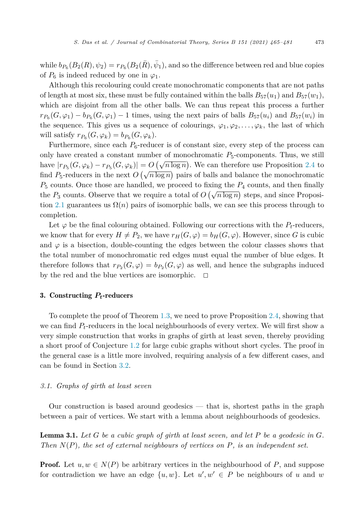<span id="page-8-0"></span>while  $b_{P_6}(B_2(R), \psi_2) = r_{P_6}(B_2(R), \bar{\psi}_1)$ , and so the difference between red and blue copies of  $P_6$  is indeed reduced by one in  $\varphi_1$ .

Although this recolouring could create monochromatic components that are not paths of length at most six, these must be fully contained within the balls  $B_{57}(u_1)$  and  $B_{57}(w_1)$ , which are disjoint from all the other balls. We can thus repeat this process a further  $r_{P_6}(G, \varphi_1) - b_{P_6}(G, \varphi_1) - 1$  times, using the next pairs of balls  $B_{57}(u_i)$  and  $B_{57}(w_i)$  in the sequence. This gives us a sequence of colourings,  $\varphi_1, \varphi_2, \ldots, \varphi_k$ , the last of which will satisfy  $r_{P_6}(G, \varphi_k) = b_{P_6}(G, \varphi_k)$ .

Furthermore, since each  $P_6$ -reducer is of constant size, every step of the process can only have created a constant number of monochromatic  $P_5$ -components. Thus, we still have  $|r_{P_5}(G, \varphi_k) - r_{P_5}(G, \varphi_k)| = O\left(\sqrt{n \log n}\right)$ . We can therefore use Proposition [2.4](#page-6-0) to find  $P_5$ -reducers in the next  $O(\sqrt{n \log n})$  pairs of balls and balance the monochromatic *P*<sup>5</sup> counts. Once those are handled, we proceed to fixing the *P*<sup>4</sup> counts, and then finally the  $P_3$  counts. Observe that we require a total of  $O(\sqrt{n \log n})$  steps, and since Proposi-tion [2.1](#page-3-0) guarantees us  $\Omega(n)$  pairs of isomorphic balls, we can see this process through to completion.

Let  $\varphi$  be the final colouring obtained. Following our corrections with the  $P_t$ -reducers, we know that for every  $H \neq P_2$ , we have  $r_H(G, \varphi) = b_H(G, \varphi)$ . However, since G is cubic and  $\varphi$  is a bisection, double-counting the edges between the colour classes shows that the total number of monochromatic red edges must equal the number of blue edges. It therefore follows that  $r_{P_2}(G, \varphi) = b_{P_2}(G, \varphi)$  as well, and hence the subgraphs induced by the red and the blue vertices are isomorphic.  $\Box$ 

#### 3. Constructing *Pt*-reducers

To complete the proof of Theorem [1.3](#page-2-0), we need to prove Proposition [2.4,](#page-6-0) showing that we can find *Pt*-reducers in the local neighbourhoods of every vertex. We will first show a very simple construction that works in graphs of girth at least seven, thereby providing a short proof of Conjecture [1.2](#page-2-0) for large cubic graphs without short cycles. The proof in the general case is a little more involved, requiring analysis of a few different cases, and can be found in Section [3.2.](#page-10-0)

### *3.1. Graphs of girth at least seven*

Our construction is based around geodesics — that is, shortest paths in the graph between a pair of vertices. We start with a lemma about neighbourhoods of geodesics.

**Lemma 3.1.** Let G be a cubic graph of girth at least seven, and let P be a geodesic in  $G$ . *Then N*(*P*)*, the set of external neighbours of vertices on P, is an independent set.*

**Proof.** Let  $u, w \in N(P)$  be arbitrary vertices in the neighbourhood of P, and suppose for contradiction we have an edge  $\{u, w\}$ . Let  $u', w' \in P$  be neighbours of *u* and *w*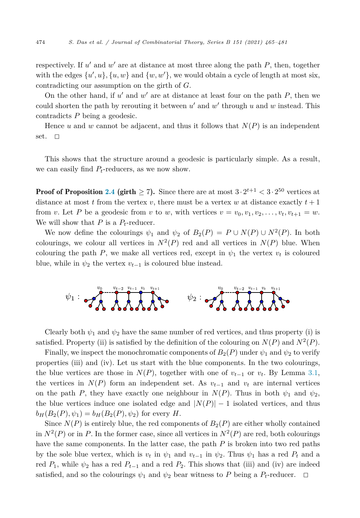respectively. If  $u'$  and  $w'$  are at distance at most three along the path  $P$ , then, together with the edges  $\{u', u\}$ ,  $\{u, w\}$  and  $\{w, w'\}$ , we would obtain a cycle of length at most six, contradicting our assumption on the girth of *G*.

On the other hand, if *u* and *w* are at distance at least four on the path *P*, then we could shorten the path by rerouting it between *u'* and *w'* through *u* and *w* instead. This contradicts *P* being a geodesic.

Hence  $u$  and  $w$  cannot be adjacent, and thus it follows that  $N(P)$  is an independent set.  $\Box$ 

This shows that the structure around a geodesic is particularly simple. As a result, we can easily find *Pt*-reducers, as we now show.

**Proof of Proposition [2.4](#page-6-0) (girth**  $\geq 7$ **). Since there are at most**  $3 \cdot 2^{t+1} < 3 \cdot 2^{50}$  **vertices at** distance at most  $t$  from the vertex  $v$ , there must be a vertex  $w$  at distance exactly  $t + 1$ from *v*. Let *P* be a geodesic from *v* to *w*, with vertices  $v = v_0, v_1, v_2, \ldots, v_t, v_{t+1} = w$ . We will show that  $P$  is a  $P_t$ -reducer.

We now define the colourings  $\psi_1$  and  $\psi_2$  of  $B_2(P) = P \cup N(P) \cup N^2(P)$ . In both colourings, we colour all vertices in  $N^2(P)$  red and all vertices in  $N(P)$  blue. When colouring the path *P*, we make all vertices red, except in  $\psi_1$  the vertex  $v_t$  is coloured blue, while in  $\psi_2$  the vertex  $v_{t-1}$  is coloured blue instead.



Clearly both  $\psi_1$  and  $\psi_2$  have the same number of red vertices, and thus property (i) is satisfied. Property (ii) is satisfied by the definition of the colouring on  $N(P)$  and  $N^2(P)$ .

Finally, we inspect the monochromatic components of  $B_2(P)$  under  $\psi_1$  and  $\psi_2$  to verify properties (iii) and (iv). Let us start with the blue components. In the two colourings, the blue vertices are those in  $N(P)$ , together with one of  $v_{t-1}$  or  $v_t$ . By Lemma [3.1,](#page-8-0) the vertices in  $N(P)$  form an independent set. As  $v_{t-1}$  and  $v_t$  are internal vertices on the path *P*, they have exactly one neighbour in  $N(P)$ . Thus in both  $\psi_1$  and  $\psi_2$ , the blue vertices induce one isolated edge and  $|N(P)| - 1$  isolated vertices, and thus  $b_H(B_2(P), \psi_1) = b_H(B_2(P), \psi_2)$  for every *H*.

Since  $N(P)$  is entirely blue, the red components of  $B_2(P)$  are either wholly contained in  $N^2(P)$  or in P. In the former case, since all vertices in  $N^2(P)$  are red, both colourings have the same components. In the latter case, the path *P* is broken into two red paths by the sole blue vertex, which is  $v_t$  in  $\psi_1$  and  $v_{t-1}$  in  $\psi_2$ . Thus  $\psi_1$  has a red  $P_t$  and a red  $P_1$ , while  $\psi_2$  has a red  $P_{t-1}$  and a red  $P_2$ . This shows that (iii) and (iv) are indeed satisfied, and so the colourings  $\psi_1$  and  $\psi_2$  bear witness to P being a  $P_t$ -reducer.  $\Box$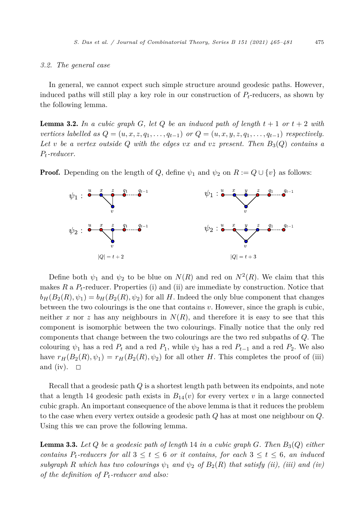#### <span id="page-10-0"></span>*3.2. The general case*

In general, we cannot expect such simple structure around geodesic paths. However, induced paths will still play a key role in our construction of *Pt*-reducers, as shown by the following lemma.

**Lemma 3.2.** In a cubic graph  $G$ , let  $Q$  be an induced path of length  $t + 1$  or  $t + 2$  with vertices labelled as  $Q = (u, x, z, q_1, \ldots, q_{t-1})$  or  $Q = (u, x, y, z, q_1, \ldots, q_{t-1})$  respectively. *Let v be a vertex outside Q with the edges vx and vz present. Then*  $B_3(Q)$  *contains a Pt-reducer.*

**Proof.** Depending on the length of *Q*, define  $\psi_1$  and  $\psi_2$  on  $R := Q \cup \{v\}$  as follows:



Define both  $\psi_1$  and  $\psi_2$  to be blue on  $N(R)$  and red on  $N^2(R)$ . We claim that this makes *R* a *Pt*-reducer. Properties (i) and (ii) are immediate by construction. Notice that  $b_H(B_2(R), \psi_1) = b_H(B_2(R), \psi_2)$  for all *H*. Indeed the only blue component that changes between the two colourings is the one that contains *v*. However, since the graph is cubic, neither *x* nor *z* has any neighbours in  $N(R)$ , and therefore it is easy to see that this component is isomorphic between the two colourings. Finally notice that the only red components that change between the two colourings are the two red subpaths of *Q*. The colouring  $\psi_1$  has a red  $P_t$  and a red  $P_1$ , while  $\psi_2$  has a red  $P_{t-1}$  and a red  $P_2$ . We also have  $r_H(B_2(R), \psi_1) = r_H(B_2(R), \psi_2)$  for all other *H*. This completes the proof of (iii) and (iv).  $\Box$ 

Recall that a geodesic path *Q* is a shortest length path between its endpoints, and note that a length 14 geodesic path exists in  $B_{14}(v)$  for every vertex v in a large connected cubic graph. An important consequence of the above lemma is that it reduces the problem to the case when every vertex outside a geodesic path *Q* has at most one neighbour on *Q*. Using this we can prove the following lemma.

Lemma 3.3. *Let Q be a geodesic path of length* 14 *in a cubic graph G. Then B*3(*Q*) *either contains*  $P_t$ -reducers for all  $3 \le t \le 6$  *or it contains, for each*  $3 \le t \le 6$ *, an induced subgraph R which has two colourings*  $\psi_1$  *and*  $\psi_2$  *of*  $B_2(R)$  *that satisfy (ii), (iii) and (iv) of the definition of Pt-reducer and also:*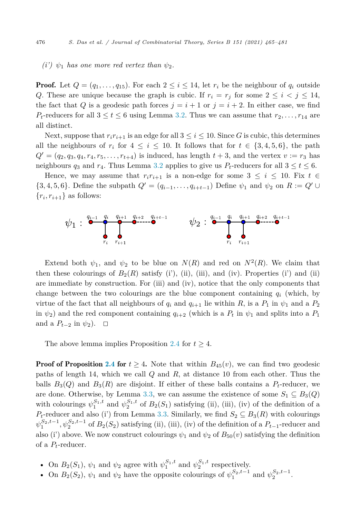#### $(i')$   $\psi_1$  *has one more red vertex than*  $\psi_2$ .

**Proof.** Let  $Q = (q_1, \ldots, q_{15})$ . For each  $2 \leq i \leq 14$ , let  $r_i$  be the neighbour of  $q_i$  outside *Q*. These are unique because the graph is cubic. If  $r_i = r_j$  for some  $2 \leq i \leq j \leq 14$ , the fact that *Q* is a geodesic path forces  $j = i + 1$  or  $j = i + 2$ . In either case, we find *P*<sub>t</sub>-reducers for all  $3 \le t \le 6$  using Lemma [3.2.](#page-10-0) Thus we can assume that  $r_2, \ldots, r_{14}$  are all distinct.

Next, suppose that  $r_i r_{i+1}$  is an edge for all  $3 \leq i \leq 10$ . Since G is cubic, this determines all the neighbours of  $r_i$  for  $4 \leq i \leq 10$ . It follows that for  $t \in \{3, 4, 5, 6\}$ , the path  $Q' = (q_2, q_3, q_4, r_4, r_5, \ldots, r_{t+4})$  is induced, has length  $t+3$ , and the vertex  $v := r_3$  has neighbours  $q_3$  and  $r_4$ . Thus Lemma [3.2](#page-10-0) applies to give us  $P_t$ -reducers for all  $3 \le t \le 6$ .

Hence, we may assume that  $r_i r_{i+1}$  is a non-edge for some  $3 \leq i \leq 10$ . Fix  $t \in$  $\{3, 4, 5, 6\}$ . Define the subpath  $Q' = (q_{i-1}, \ldots, q_{i+t-1})$  Define  $\psi_1$  and  $\psi_2$  on  $R := Q' \cup$  ${r_i, r_{i+1}}$  as follows:



Extend both  $\psi_1$ , and  $\psi_2$  to be blue on  $N(R)$  and red on  $N^2(R)$ . We claim that then these colourings of  $B_2(R)$  satisfy (i'), (ii), (iii), and (iv). Properties (i') and (ii) are immediate by construction. For (iii) and (iv), notice that the only components that change between the two colourings are the blue component containing  $q_i$  (which, by virtue of the fact that all neighbours of  $q_i$  and  $q_{i+1}$  lie within  $R$ , is a  $P_1$  in  $\psi_1$  and a  $P_2$ in  $\psi_2$  and the red component containing  $q_{i+2}$  (which is a  $P_t$  in  $\psi_1$  and splits into a  $P_1$ and a  $P_{t-2}$  in  $\psi_2$ ).  $\Box$ 

The above lemma implies Proposition [2.4](#page-6-0) for  $t > 4$ .

**Proof of Proposition [2.4](#page-6-0) for**  $t \geq 4$ . Note that within  $B_{45}(v)$ , we can find two geodesic paths of length 14, which we call *Q* and *R*, at distance 10 from each other. Thus the balls  $B_3(Q)$  and  $B_3(R)$  are disjoint. If either of these balls contains a  $P_t$ -reducer, we are done. Otherwise, by Lemma [3.3](#page-10-0), we can assume the existence of some  $S_1 \subseteq B_3(Q)$ with colourings  $\psi_1^{S_1,t}$  and  $\psi_2^{S_1,t}$  of  $B_2(S_1)$  satisfying (ii), (iii), (iv) of the definition of a  $P_t$ -reducer and also (i') from Lemma [3.3](#page-10-0). Similarly, we find  $S_2 \subseteq B_3(R)$  with colourings  $\psi_1^{S_2,t-1}, \psi_2^{S_2,t-1}$  of  $B_2(S_2)$  satisfying (ii), (iii), (iv) of the definition of a  $P_{t-1}$ -reducer and also (i') above. We now construct colourings  $\psi_1$  and  $\psi_2$  of  $B_{50}(v)$  satisfying the definition of a *Pt*-reducer.

- On  $B_2(S_1)$ ,  $\psi_1$  and  $\psi_2$  agree with  $\psi_1^{S_1,t}$  and  $\psi_2^{S_1,t}$  respectively.
- On  $B_2(S_2)$ ,  $\psi_1$  and  $\psi_2$  have the opposite colourings of  $\psi_1^{S_2,t-1}$  and  $\psi_2^{S_2,t-1}$ .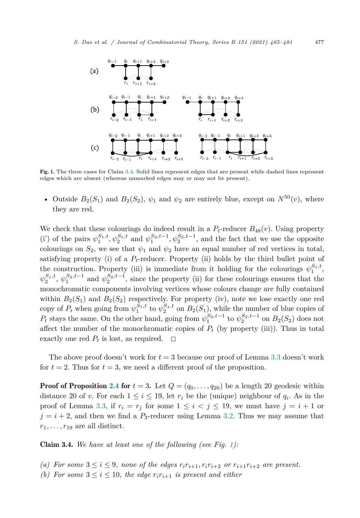

Fig. 1. The three cases for Claim 3.4. Solid lines represent edges that are present while dashed lines represent edges which are absent (whereas unmarked edges may or may not be present).

• Outside  $B_2(S_1)$  and  $B_2(S_2)$ ,  $\psi_1$  and  $\psi_2$  are entirely blue, except on  $N^{50}(v)$ , where they are red.

We check that these colourings do indeed result in a  $P_t$ -reducer  $B_{48}(v)$ . Using property (i') of the pairs  $\psi_1^{S_1,t}, \psi_2^{S_1,t}$  and  $\psi_1^{S_2,t-1}, \psi_2^{S_2,t-1}$ , and the fact that we use the opposite colourings on  $S_2$ , we see that  $\psi_1$  and  $\psi_2$  have an equal number of red vertices in total, satisfying property (i) of a  $P_t$ -reducer. Property (ii) holds by the third bullet point of the construction. Property (iii) is immediate from it holding for the colourings  $\psi_1^{S_1,t}$ ,  $\psi_2^{S_1,t}, \psi_1^{S_2,t-1}$  and  $\psi_2^{S_2,t-1}$ , since the property (ii) for these colourings ensures that the monochromatic components involving vertices whose colours change are fully contained within  $B_2(S_1)$  and  $B_2(S_2)$  respectively. For property (iv), note we lose exactly one red copy of  $P_t$  when going from  $\psi_1^{S_1,t}$  to  $\psi_2^{S_1,t}$  on  $B_2(S_1)$ , while the number of blue copies of *P*<sup>*t*</sup> stays the same. On the other hand, going from  $\psi_1^{S_2,t-1}$  to  $\psi_2^{S_2,t-1}$  on  $B_2(S_2)$  does not affect the number of the monochromatic copies of  $P_t$  (by property (iii)). Thus in total exactly one red  $P_t$  is lost, as required.  $\Box$ 

The above proof doesn't work for  $t = 3$  because our proof of Lemma [3.3](#page-10-0) doesn't work for  $t = 2$ . Thus for  $t = 3$ , we need a different proof of the proposition.

**Proof of Proposition [2.4](#page-6-0) for**  $t = 3$ . Let  $Q = (q_0, \ldots, q_{20})$  be a length 20 geodesic within distance 20 of *v*. For each  $1 \leq i \leq 19$ , let  $r_i$  be the (unique) neighbour of  $q_i$ . As in the proof of Lemma [3.3,](#page-10-0) if  $r_i = r_j$  for some  $1 \leq i \leq j \leq 19$ , we must have  $j = i + 1$  or  $j = i + 2$ , and then we find a  $P_3$ -reducer using Lemma [3.2](#page-10-0). Thus we may assume that  $r_1, \ldots, r_{19}$  are all distinct.

Claim 3.4. *We have at least one of the following (see Fig. 1):*

- (a) For some  $3 \leq i \leq 9$ , none of the edges  $r_i r_{i+1}, r_i r_{i+2}$  or  $r_{i+1} r_{i+2}$  are present.
- *(b)* For some  $3 \leq i \leq 10$ , the edge  $r_i r_{i+1}$  is present and either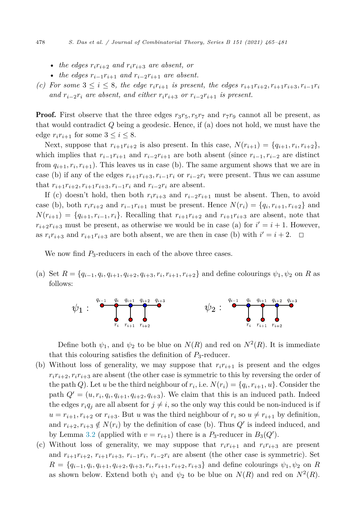- *the edges*  $r_i r_{i+2}$  *and*  $r_i r_{i+3}$  *are absent, or*
- *the edges*  $r_{i-1}r_{i+1}$  *and*  $r_{i-2}r_{i+1}$  *are absent.*
- (c) For some  $3 \leq i \leq 8$ , the edge  $r_i r_{i+1}$  is present, the edges  $r_{i+1} r_{i+2}, r_{i+1} r_{i+3}, r_{i-1} r_i$ *and*  $r_{i-2}r_i$  *are absent, and either*  $r_ir_{i+3}$  *or*  $r_{i-2}r_{i+1}$  *is* present.

**Proof.** First observe that the three edges  $r_3r_5$ ,  $r_5r_7$  and  $r_7r_9$  cannot all be present, as that would contradict *Q* being a geodesic. Hence, if (a) does not hold, we must have the edge  $r_i r_{i+1}$  for some  $3 \leq i \leq 8$ .

Next, suppose that  $r_{i+1}r_{i+2}$  is also present. In this case,  $N(r_{i+1}) = \{q_{i+1}, r_i, r_{i+2}\},\$ which implies that  $r_{i-1}r_{i+1}$  and  $r_{i-2}r_{i+1}$  are both absent (since  $r_{i-1}, r_{i-2}$  are distinct from  $q_{i+1}, r_i, r_{i+1}$ ). This leaves us in case (b). The same argument shows that we are in case (b) if any of the edges  $r_{i+1}r_{i+3}, r_{i-1}r_i$  or  $r_{i-2}r_i$  were present. Thus we can assume that  $r_{i+1}r_{i+2}, r_{i+1}r_{i+3}, r_{i-1}r_i$  and  $r_{i-2}r_i$  are absent.

If (c) doesn't hold, then both  $r_i r_{i+3}$  and  $r_{i-2} r_{i+1}$  must be absent. Then, to avoid case (b), both  $r_i r_{i+2}$  and  $r_{i-1} r_{i+1}$  must be present. Hence  $N(r_i) = \{q_i, r_{i+1}, r_{i+2}\}\$ and  $N(r_{i+1}) = \{q_{i+1}, r_{i-1}, r_i\}$ . Recalling that  $r_{i+1}r_{i+2}$  and  $r_{i+1}r_{i+3}$  are absent, note that  $r_{i+2}r_{i+3}$  must be present, as otherwise we would be in case (a) for  $i' = i + 1$ . However, as  $r_i r_{i+3}$  and  $r_{i+1} r_{i+3}$  are both absent, we are then in case (b) with  $i' = i + 2$ .  $\Box$ 

We now find  $P_3$ -reducers in each of the above three cases.

(a) Set  $R = \{q_{i-1}, q_i, q_{i+1}, q_{i+2}, q_{i+3}, r_i, r_{i+1}, r_{i+2}\}\$ and define colourings  $\psi_1, \psi_2$  on R as follows:



Define both  $\psi_1$ , and  $\psi_2$  to be blue on  $N(R)$  and red on  $N^2(R)$ . It is immediate that this colouring satisfies the definition of  $P_3$ -reducer.

- (b) Without loss of generality, we may suppose that  $r_i r_{i+1}$  is present and the edges  $r_i r_{i+2}, r_i r_{i+3}$  are absent (the other case is symmetric to this by reversing the order of the path *Q*). Let *u* be the third neighbour of  $r_i$ , i.e.  $N(r_i) = \{q_i, r_{i+1}, u\}$ . Consider the path  $Q' = (u, r_i, q_i, q_{i+1}, q_{i+2}, q_{i+3})$ . We claim that this is an induced path. Indeed the edges  $r_i q_j$  are all absent for  $j \neq i$ , so the only way this could be non-induced is if  $u = r_{i+1}, r_{i+2}$  or  $r_{i+3}$ . But *u* was the third neighbour of  $r_i$  so  $u \neq r_{i+1}$  by definition, and  $r_{i+2}, r_{i+3} \notin N(r_i)$  by the definition of case (b). Thus  $Q'$  is indeed induced, and by Lemma [3.2](#page-10-0) (applied with  $v = r_{i+1}$ ) there is a  $P_3$ -reducer in  $B_3(Q')$ .
- (c) Without loss of generality, we may suppose that  $r_i r_{i+1}$  and  $r_i r_{i+3}$  are present and  $r_{i+1}r_{i+2}, r_{i+1}r_{i+3}, r_{i-1}r_i, r_{i-2}r_i$  are absent (the other case is symmetric). Set  $R = \{q_{i-1}, q_i, q_{i+1}, q_{i+2}, q_{i+3}, r_i, r_{i+1}, r_{i+2}, r_{i+3}\}\$ and define colourings  $\psi_1, \psi_2$  on R as shown below. Extend both  $\psi_1$  and  $\psi_2$  to be blue on  $N(R)$  and red on  $N^2(R)$ .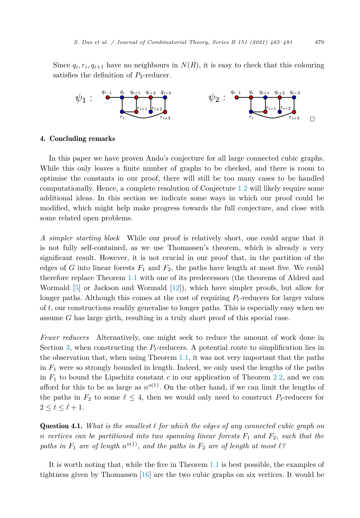<span id="page-14-0"></span>Since  $q_i, r_i, q_{i+1}$  have no neighbours in  $N(R)$ , it is easy to check that this colouring satisfies the definition of *P*3-reducer.



#### 4. Concluding remarks

In this paper we have proven Ando's conjecture for all large connected cubic graphs. While this only leaves a finite number of graphs to be checked, and there is room to optimise the constants in our proof, there will still be too many cases to be handled computationally. Hence, a complete resolution of Conjecture [1.2](#page-2-0) will likely require some additional ideas. In this section we indicate some ways in which our proof could be modified, which might help make progress towards the full conjecture, and close with some related open problems.

*A simpler starting block* While our proof is relatively short, one could argue that it is not fully self-contained, as we use Thomassen's theorem, which is already a very significant result. However, it is not crucial in our proof that, in the partition of the edges of *G* into linear forests  $F_1$  and  $F_2$ , the paths have length at most five. We could therefore replace Theorem [1.1](#page-2-0) with one of its predecessors (the theorems of Aldred and Wormald [\[5](#page-16-0)] or Jackson and Wormald [\[12](#page-16-0)]), which have simpler proofs, but allow for longer paths. Although this comes at the cost of requiring *Pt*-reducers for larger values of *t*, our constructions readily generalise to longer paths. This is especially easy when we assume *G* has large girth, resulting in a truly short proof of this special case.

*Fewer reducers* Alternatively, one might seek to reduce the amount of work done in Section [3,](#page-8-0) when constructing the  $P_t$ -reducers. A potential route to simplification lies in the observation that, when using Theorem [1.1](#page-2-0), it was not very important that the paths in  $F_1$  were so strongly bounded in length. Indeed, we only used the lengths of the paths in  $F_1$  to bound the Lipschitz constant  $c$  in our application of Theorem [2.2](#page-4-0), and we can afford for this to be as large as  $n^{o(1)}$ . On the other hand, if we can limit the lengths of the paths in  $F_2$  to some  $\ell \leq 4$ , then we would only need to construct  $P_t$ -reducers for  $2 \leq t \leq \ell+1$ .

Question 4.1. *What is the smallest for which the edges of any connected cubic graph on*  $n$  *vertices can be partitioned into two spanning linear forests*  $F_1$  *and*  $F_2$ *, such that the paths in*  $F_1$  *are of length*  $n^{o(1)}$ *, and the paths in*  $F_2$  *are of length at most*  $l$ ?

It is worth noting that, while the five in Theorem [1.1](#page-2-0) is best possible, the examples of tightness given by Thomassen [\[16](#page-16-0)] are the two cubic graphs on six vertices. It would be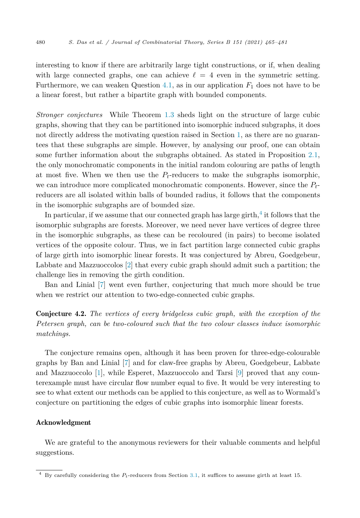interesting to know if there are arbitrarily large tight constructions, or if, when dealing with large connected graphs, one can achieve  $\ell = 4$  even in the symmetric setting. Furthermore, we can weaken Question  $4.1$ , as in our application  $F_1$  does not have to be a linear forest, but rather a bipartite graph with bounded components.

*Stronger conjectures* While Theorem [1.3](#page-2-0) sheds light on the structure of large cubic graphs, showing that they can be partitioned into isomorphic induced subgraphs, it does not directly address the motivating question raised in Section [1,](#page-0-0) as there are no guarantees that these subgraphs are simple. However, by analysing our proof, one can obtain some further information about the subgraphs obtained. As stated in Proposition [2.1,](#page-3-0) the only monochromatic components in the initial random colouring are paths of length at most five. When we then use the  $P_t$ -reducers to make the subgraphs isomorphic, we can introduce more complicated monochromatic components. However, since the *Pt*reducers are all isolated within balls of bounded radius, it follows that the components in the isomorphic subgraphs are of bounded size.

In particular, if we assume that our connected graph has large girth, $4$  it follows that the isomorphic subgraphs are forests. Moreover, we need never have vertices of degree three in the isomorphic subgraphs, as these can be recoloured (in pairs) to become isolated vertices of the opposite colour. Thus, we in fact partition large connected cubic graphs of large girth into isomorphic linear forests. It was conjectured by Abreu, Goedgebeur, Labbate and Mazzuoccolos [[2\]](#page-16-0) that every cubic graph should admit such a partition; the challenge lies in removing the girth condition.

Ban and Linial [\[7](#page-16-0)] went even further, conjecturing that much more should be true when we restrict our attention to two-edge-connected cubic graphs.

Conjecture 4.2. *The vertices of every bridgeless cubic graph, with the exception of the Petersen graph, can be two-coloured such that the two colour classes induce isomorphic matchings.*

The conjecture remains open, although it has been proven for three-edge-colourable graphs by Ban and Linial [\[7](#page-16-0)] and for claw-free graphs by Abreu, Goedgebeur, Labbate and Mazzuoccolo [\[1](#page-16-0)], while Esperet, Mazzuoccolo and Tarsi [[9\]](#page-16-0) proved that any counterexample must have circular flow number equal to five. It would be very interesting to see to what extent our methods can be applied to this conjecture, as well as to Wormald's conjecture on partitioning the edges of cubic graphs into isomorphic linear forests.

#### Acknowledgment

We are grateful to the anonymous reviewers for their valuable comments and helpful suggestions.

<sup>4</sup> By carefully considering the *Pt*-reducers from Section [3.1,](#page-8-0) it suffices to assume girth at least 15.